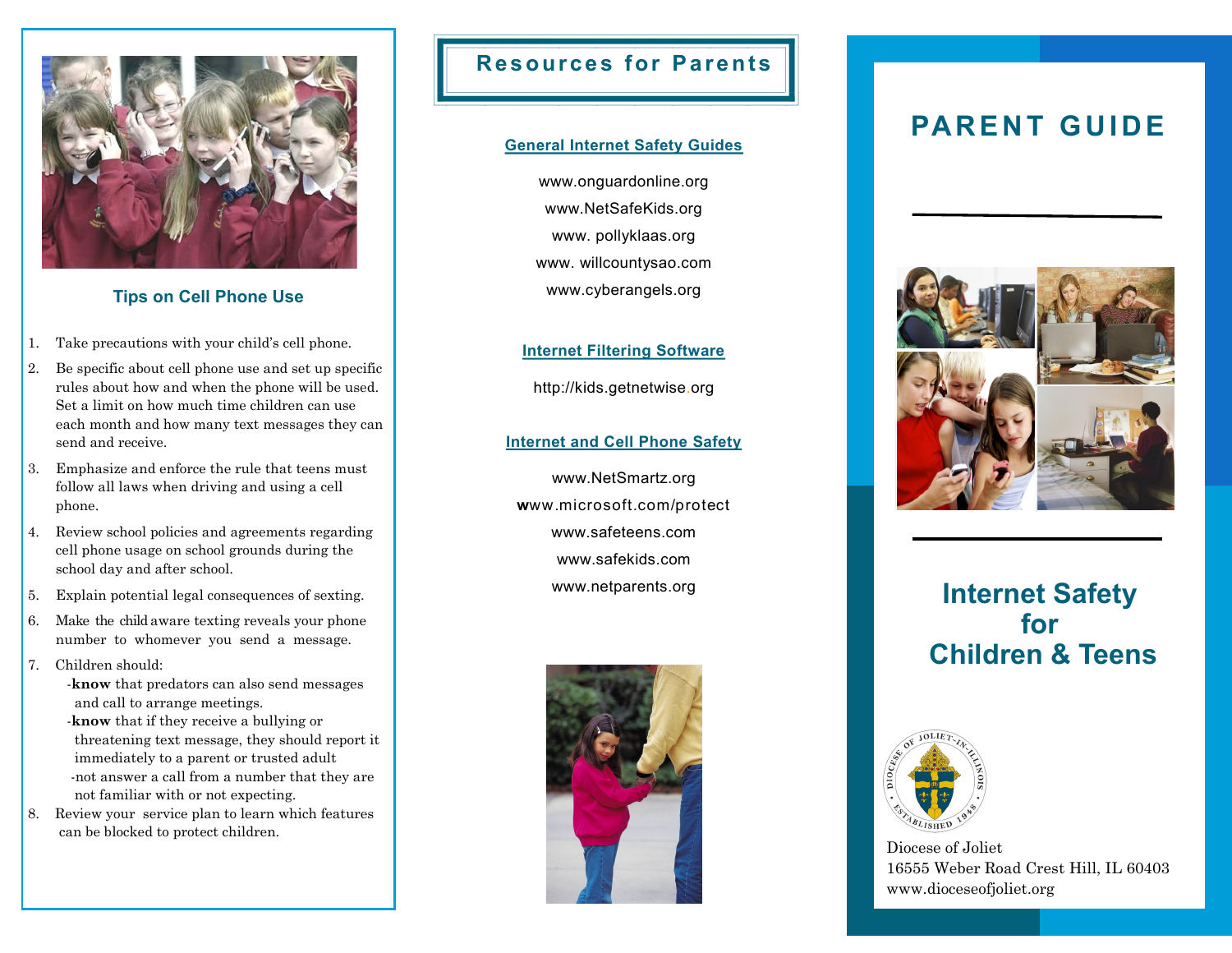

## **Tips on Cell Phone Use**

- 1. Take precautions with your child's cell phone.
- 2. Be specific about cell phone use and set up specific rules about how and when the phone will be used. Set a limit on how much time children can use each month and how many text messages they can send and receive.
- 3. Emphasize and enforce the rule that teens must follow all laws when driving and using a cell phone.
- 4. Review school policies and agreements regarding cell phone usage on school grounds during the school day and after school.
- 5. Explain potential legal consequences of sexting.
- 6. Make the child aware texting reveals your phone number to whomever you send a message.
- 7. Children should:
	- -**know** that predators can also send messages and call to arrange meetings.
	- -**know** that if they receive a bullying or threatening text message, they should report it immediately to a parent or trusted adult -not answer a call from a number that they are not familiar with or not expecting.
- 8. Review your service plan to learn which features can be blocked to protect children.

## **Resources for Parents**

### **General Internet Safety Guides**

www.onguardonline.org www.NetSafeKids.org www. pollyklaas.org www. willcountysao.com www.cyberangels.org

## **Internet Filtering Software**

http://kids.getnetwise.org

## **Internet and Cell Phone Safety**

www.NetSmartz.org **w**ww.microsoft.com/protect www.safeteens.com www.safekids.com www.netparents.org



# **PARENT GUIDE**



# **Internet Safety for Children & Teens**



Diocese of Joliet 16555 Weber Road Crest Hill, IL 60403 www.dioceseofjoliet.org